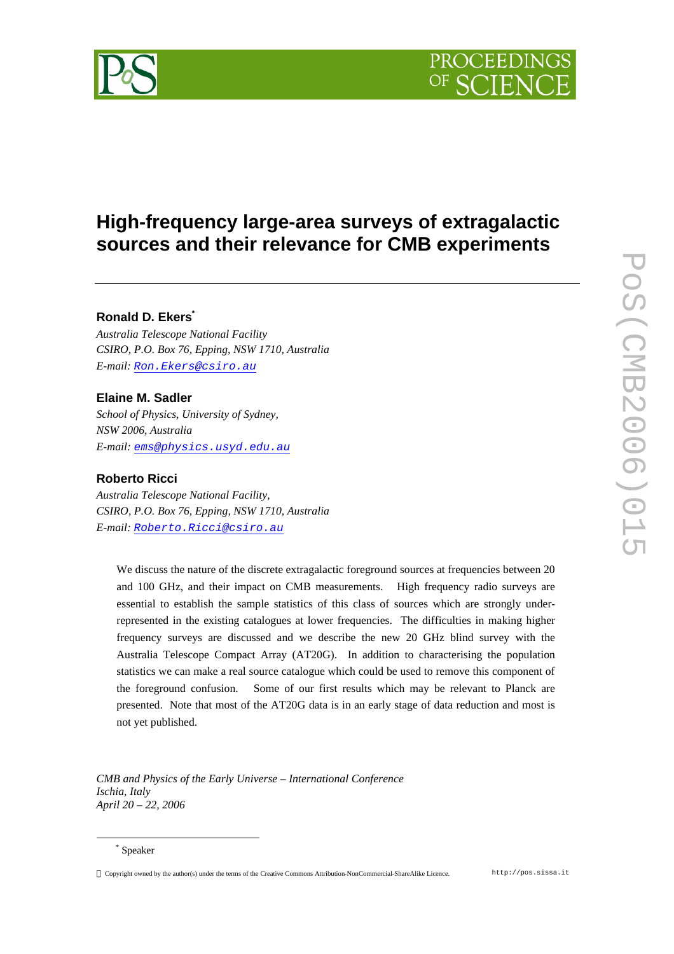



# **High-frequency large-area surveys of extragalactic sources and their relevance for CMB experiments**

# **Ronald D. Ekers\***

*Australia Telescope National Facility CSIRO, P.O. Box 76, Epping, NSW 1710, Australia E-mail: Ron.Ekers@csiro.au*

# **Elaine M. Sadler**

*School of Physics, University of Sydney, NSW 2006, Australia E-mail: ems@physics.usyd.edu.au*

# **Roberto Ricci**

*Australia Telescope National Facility, CSIRO, P.O. Box 76, Epping, NSW 1710, Australia E-mail: Roberto.Ricci@csiro.au*

We discuss the nature of the discrete extragalactic foreground sources at frequencies between 20 and 100 GHz, and their impact on CMB measurements. High frequency radio surveys are essential to establish the sample statistics of this class of sources which are strongly underrepresented in the existing catalogues at lower frequencies. The difficulties in making higher frequency surveys are discussed and we describe the new 20 GHz blind survey with the Australia Telescope Compact Array (AT20G). In addition to characterising the population statistics we can make a real source catalogue which could be used to remove this component of the foreground confusion. Some of our first results which may be relevant to Planck are presented. Note that most of the AT20G data is in an early stage of data reduction and most is not yet published.

*CMB and Physics of the Early Universe – International Conference Ischia, Italy April 20 – 22, 2006*

 $\overline{a}$ 

Copyright owned by the author(s) under the terms of the Creative Commons Attribution-NonCommercial-ShareAlike Licence. http://pos.sissa.it

<sup>\*</sup> Speaker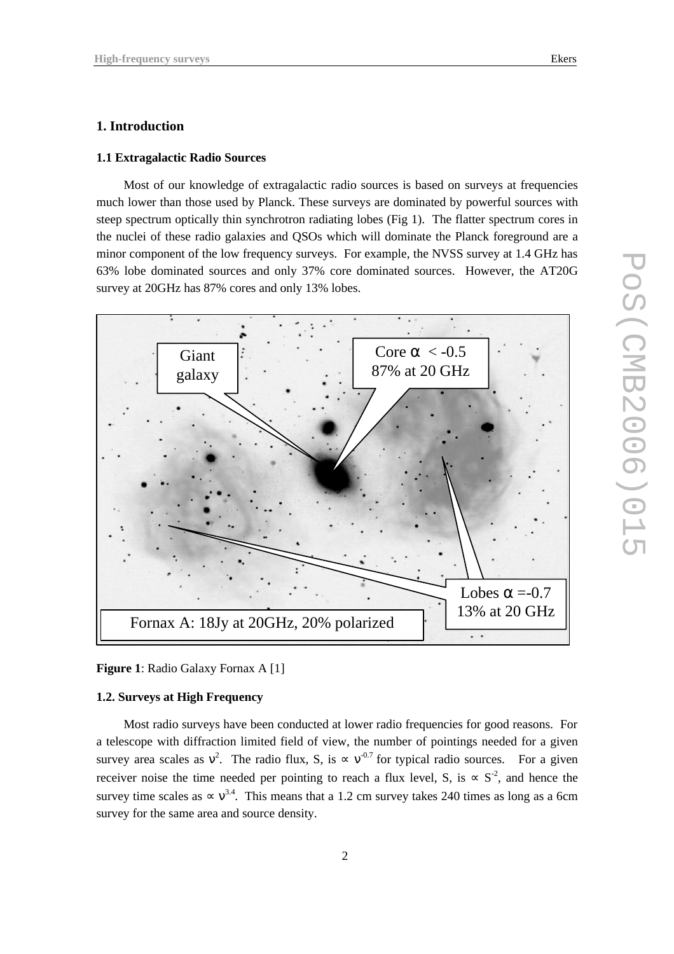### **1. Introduction**

## **1.1 Extragalactic Radio Sources**

Most of our knowledge of extragalactic radio sources is based on surveys at frequencies much lower than those used by Planck. These surveys are dominated by powerful sources with steep spectrum optically thin synchrotron radiating lobes (Fig 1). The flatter spectrum cores in the nuclei of these radio galaxies and QSOs which will dominate the Planck foreground are a minor component of the low frequency surveys. For example, the NVSS survey at 1.4 GHz has 63% lobe dominated sources and only 37% core dominated sources. However, the AT20G survey at 20GHz has 87% cores and only 13% lobes.





## **1.2. Surveys at High Frequency**

Most radio surveys have been conducted at lower radio frequencies for good reasons. For a telescope with diffraction limited field of view, the number of pointings needed for a given survey area scales as  $v^2$ . The radio flux, S, is  $\propto v^{0.7}$  for typical radio sources. For a given receiver noise the time needed per pointing to reach a flux level, S, is  $\propto S^{-2}$ , and hence the survey time scales as  $\propto v^{3.4}$ . This means that a 1.2 cm survey takes 240 times as long as a 6cm survey for the same area and source density.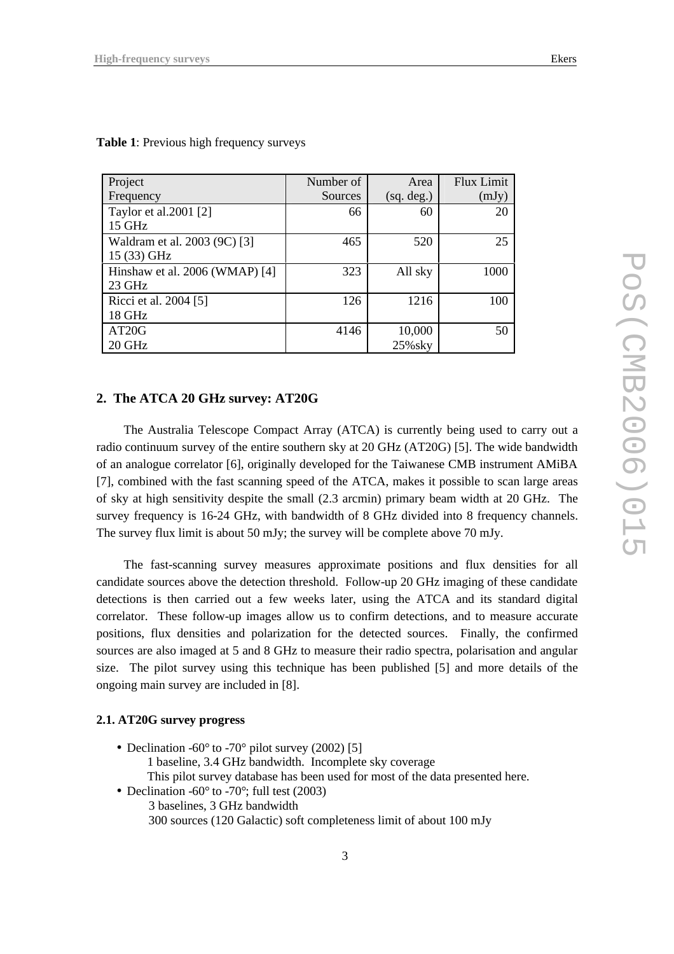| Project                        | Number of | Area       | <b>Flux Limit</b> |
|--------------------------------|-----------|------------|-------------------|
| Frequency                      | Sources   | (sq. deg.) | (mJy)             |
| Taylor et al.2001 [2]          | 66        | 60         | 20                |
| 15 GHz                         |           |            |                   |
| Waldram et al. 2003 (9C) [3]   | 465       | 520        | 25                |
| 15 (33) GHz                    |           |            |                   |
| Hinshaw et al. 2006 (WMAP) [4] | 323       | All sky    | 1000              |
| 23 GHz                         |           |            |                   |
| Ricci et al. 2004 [5]          | 126       | 1216       | 100               |
| 18 GHz                         |           |            |                   |
| AT <sub>20</sub> G             | 4146      | 10,000     | 50                |
| 20 GHz                         |           | 25% sky    |                   |

**Table 1**: Previous high frequency surveys

# **2. The ATCA 20 GHz survey: AT20G**

The Australia Telescope Compact Array (ATCA) is currently being used to carry out a radio continuum survey of the entire southern sky at 20 GHz (AT20G) [5]. The wide bandwidth of an analogue correlator [6], originally developed for the Taiwanese CMB instrument AMiBA [7], combined with the fast scanning speed of the ATCA, makes it possible to scan large areas of sky at high sensitivity despite the small (2.3 arcmin) primary beam width at 20 GHz. The survey frequency is 16-24 GHz, with bandwidth of 8 GHz divided into 8 frequency channels. The survey flux limit is about 50 mJy; the survey will be complete above 70 mJy.

The fast-scanning survey measures approximate positions and flux densities for all candidate sources above the detection threshold. Follow-up 20 GHz imaging of these candidate detections is then carried out a few weeks later, using the ATCA and its standard digital correlator. These follow-up images allow us to confirm detections, and to measure accurate positions, flux densities and polarization for the detected sources. Finally, the confirmed sources are also imaged at 5 and 8 GHz to measure their radio spectra, polarisation and angular size. The pilot survey using this technique has been published [5] and more details of the ongoing main survey are included in [8].

# **2.1. AT20G survey progress**

- Declination -60 $^{\circ}$  to -70 $^{\circ}$  pilot survey (2002) [5] 1 baseline, 3.4 GHz bandwidth. Incomplete sky coverage This pilot survey database has been used for most of the data presented here. • Declination -60 $\degree$  to -70 $\degree$ ; full test (2003)
	- 3 baselines, 3 GHz bandwidth 300 sources (120 Galactic) soft completeness limit of about 100 mJy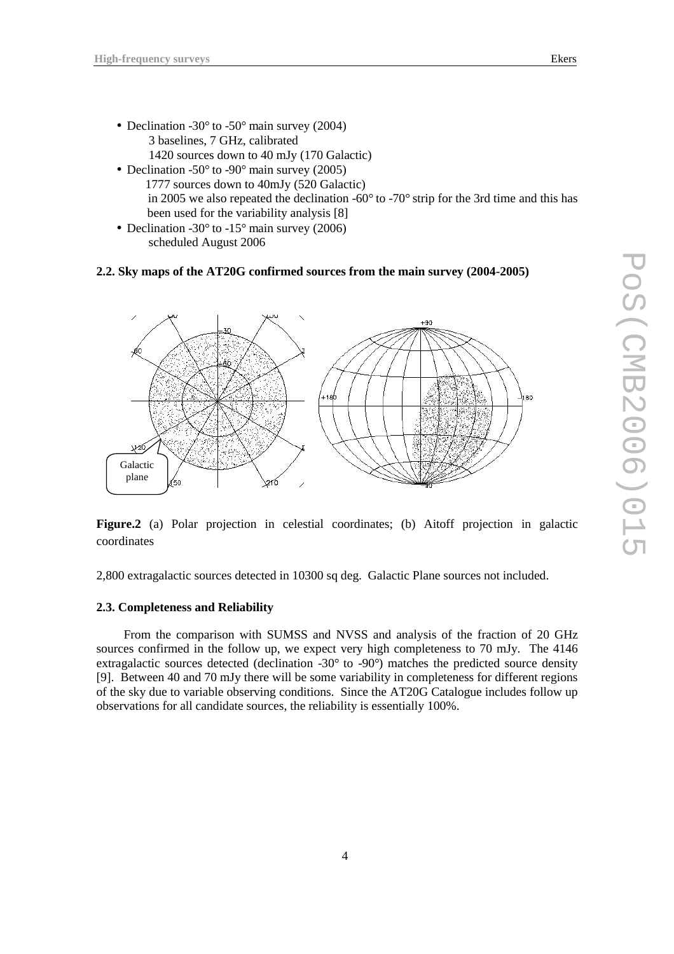- Declination -30° to -50° main survey (2004) 3 baselines, 7 GHz, calibrated 1420 sources down to 40 mJy (170 Galactic)
- Declination -50 $\degree$  to -90 $\degree$  main survey (2005) 1777 sources down to 40mJy (520 Galactic) in 2005 we also repeated the declination -60° to -70° strip for the 3rd time and this has been used for the variability analysis [8]
- Declination -30° to -15° main survey (2006) scheduled August 2006

## **2.2. Sky maps of the AT20G confirmed sources from the main survey (2004-2005)**



**Figure.2** (a) Polar projection in celestial coordinates; (b) Aitoff projection in galactic coordinates

2,800 extragalactic sources detected in 10300 sq deg. Galactic Plane sources not included.

# **2.3. Completeness and Reliability**

From the comparison with SUMSS and NVSS and analysis of the fraction of 20 GHz sources confirmed in the follow up, we expect very high completeness to 70 mJy. The 4146 extragalactic sources detected (declination -30° to -90°) matches the predicted source density [9]. Between 40 and 70 mJy there will be some variability in completeness for different regions of the sky due to variable observing conditions. Since the AT20G Catalogue includes follow up observations for all candidate sources, the reliability is essentially 100%.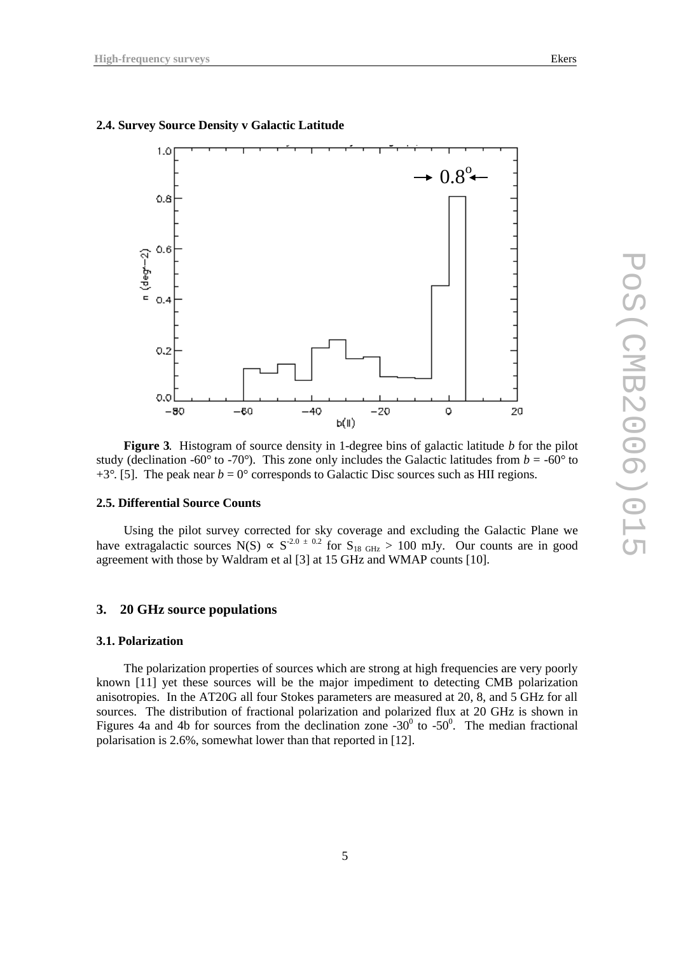# **2.4. Survey Source Density v Galactic Latitude**



**Figure 3**. Histogram of source density in 1-degree bins of galactic latitude *b* for the pilot study (declination -60° to -70°). This zone only includes the Galactic latitudes from  $b = -60^\circ$  to  $+3^{\circ}$ . [5]. The peak near  $b = 0^{\circ}$  corresponds to Galactic Disc sources such as HII regions.

# **2.5. Differential Source Counts**

Using the pilot survey corrected for sky coverage and excluding the Galactic Plane we have extragalactic sources N(S)  $\propto S^{-2.0 \pm 0.2}$  for  $S_{18 \text{ GHz}} > 100 \text{ mJy}$ . Our counts are in good agreement with those by Waldram et al [3] at 15 GHz and WMAP counts [10].

## **3. 20 GHz source populations**

#### **3.1. Polarization**

The polarization properties of sources which are strong at high frequencies are very poorly known [11] yet these sources will be the major impediment to detecting CMB polarization anisotropies. In the AT20G all four Stokes parameters are measured at 20, 8, and 5 GHz for all sources. The distribution of fractional polarization and polarized flux at 20 GHz is shown in Figures 4a and 4b for sources from the declination zone  $-30^{\circ}$  to  $-50^{\circ}$ . The median fractional polarisation is 2.6%, somewhat lower than that reported in [12].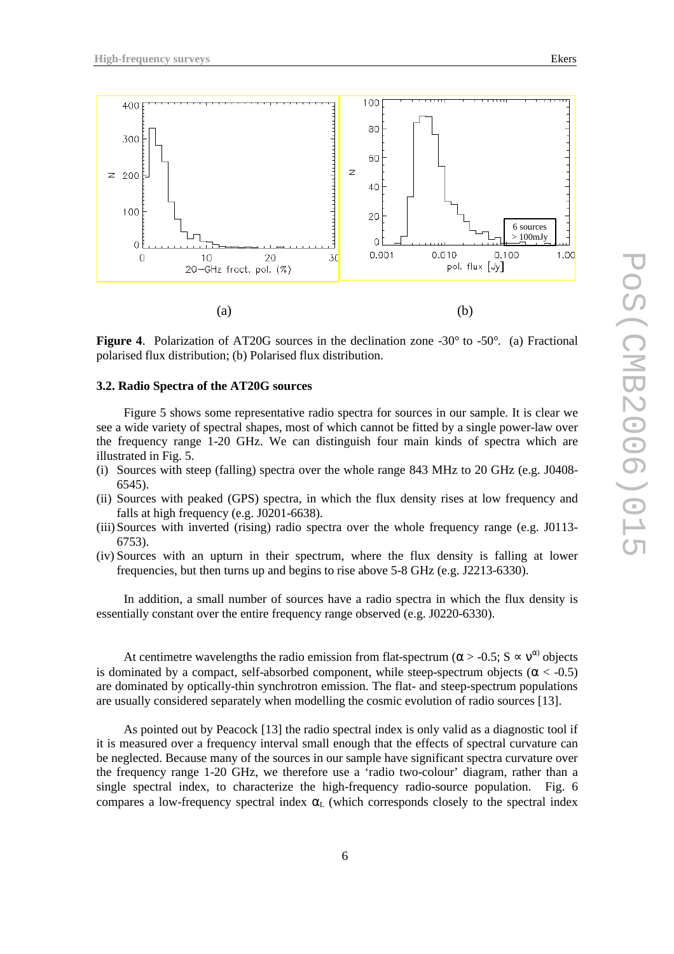

**Figure 4.** Polarization of AT20G sources in the declination zone -30° to -50°. (a) Fractional polarised flux distribution; (b) Polarised flux distribution.

#### **3.2. Radio Spectra of the AT20G sources**

Figure 5 shows some representative radio spectra for sources in our sample. It is clear we see a wide variety of spectral shapes, most of which cannot be fitted by a single power-law over the frequency range 1-20 GHz. We can distinguish four main kinds of spectra which are illustrated in Fig. 5.

- (i) Sources with steep (falling) spectra over the whole range 843 MHz to 20 GHz (e.g. J0408- 6545).
- (ii) Sources with peaked (GPS) spectra, in which the flux density rises at low frequency and falls at high frequency (e.g. J0201-6638).
- (iii)Sources with inverted (rising) radio spectra over the whole frequency range (e.g. J0113- 6753).
- (iv) Sources with an upturn in their spectrum, where the flux density is falling at lower frequencies, but then turns up and begins to rise above 5-8 GHz (e.g. J2213-6330).

In addition, a small number of sources have a radio spectra in which the flux density is essentially constant over the entire frequency range observed (e.g. J0220-6330).

At centimetre wavelengths the radio emission from flat-spectrum ( $\alpha$  > -0.5; S  $\propto$  v<sup> $\alpha$ )</sup> objects is dominated by a compact, self-absorbed component, while steep-spectrum objects ( $\alpha < -0.5$ ) are dominated by optically-thin synchrotron emission. The flat- and steep-spectrum populations are usually considered separately when modelling the cosmic evolution of radio sources [13].

As pointed out by Peacock [13] the radio spectral index is only valid as a diagnostic tool if it is measured over a frequency interval small enough that the effects of spectral curvature can be neglected. Because many of the sources in our sample have significant spectra curvature over the frequency range 1-20 GHz, we therefore use a 'radio two-colour' diagram, rather than a single spectral index, to characterize the high-frequency radio-source population. Fig. 6 compares a low-frequency spectral index  $\alpha_L$  (which corresponds closely to the spectral index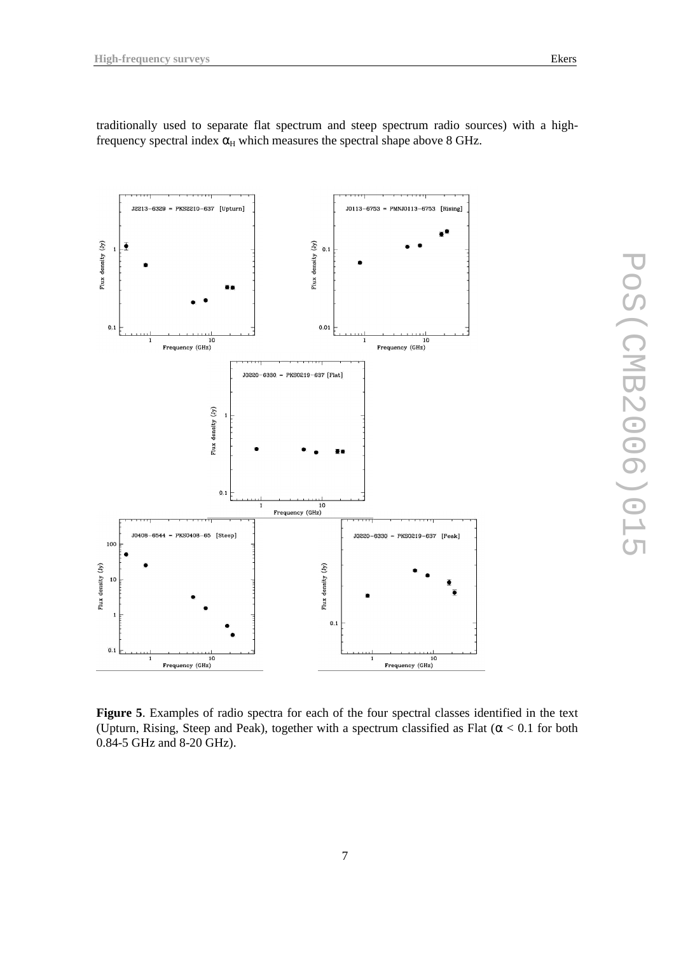Flux density (Jy)

 $0.1$ 

ē

 $J2213-6329 = PKS2210-637$  [Upturn]

10<br>Trequency (GHz)

traditionally used to separate flat spectrum and steep spectrum radio sources) with a highfrequency spectral index  $\alpha$ <sub>H</sub> which measures the spectral shape above 8 GHz.

Flux density  $\begin{pmatrix} Jy \\ 0.1 \end{pmatrix}$ 

 $0.01$ 

 $J0220-6330 = PKS0219-637$  [Flat]

 $J0113-6753 = PMNJ0113-6753$  [Rising]

10<br>Frequency (GHz)



**Figure 5**. Examples of radio spectra for each of the four spectral classes identified in the text (Upturn, Rising, Steep and Peak), together with a spectrum classified as Flat ( $\alpha$  < 0.1 for both 0.84-5 GHz and 8-20 GHz).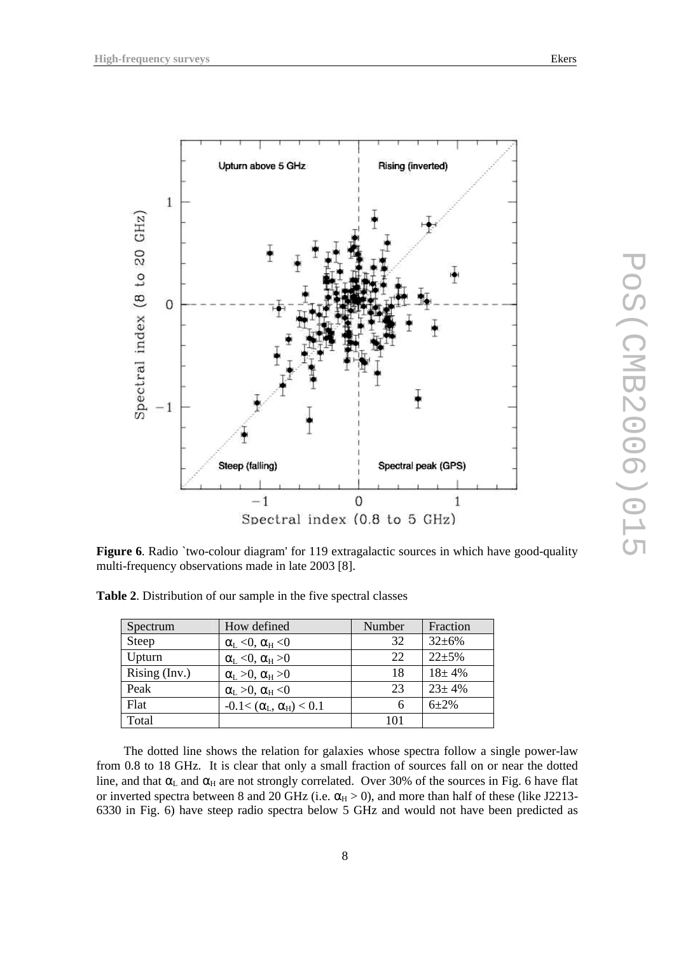

**Figure 6.** Radio `two-colour diagram' for 119 extragalactic sources in which have good-quality multi-frequency observations made in late 2003 [8].

| Spectrum        | How defined                         | Number | Fraction     |
|-----------------|-------------------------------------|--------|--------------|
| Steep           | $\alpha_L < 0$ , $\alpha_H < 0$     | 32     | $32 \pm 6\%$ |
| Upturn          | $\alpha_L < 0$ , $\alpha_H > 0$     | 22.    | $22 + 5%$    |
| Rising $(Inv.)$ | $\alpha_L > 0$ , $\alpha_H > 0$     | 18     | $18 + 4\%$   |
| Peak            | $\alpha_L > 0$ , $\alpha_H < 0$     | 23     | $23 \pm 4\%$ |
| Flat            | $-0.1 < (\alpha_L, \alpha_H) < 0.1$ | 6      | $6 + 2%$     |
| Total           |                                     | 101    |              |

**Table 2**. Distribution of our sample in the five spectral classes

The dotted line shows the relation for galaxies whose spectra follow a single power-law from 0.8 to 18 GHz. It is clear that only a small fraction of sources fall on or near the dotted line, and that  $\alpha_L$  and  $\alpha_H$  are not strongly correlated. Over 30% of the sources in Fig. 6 have flat or inverted spectra between 8 and 20 GHz (i.e.  $\alpha_H > 0$ ), and more than half of these (like J2213-6330 in Fig. 6) have steep radio spectra below 5 GHz and would not have been predicted as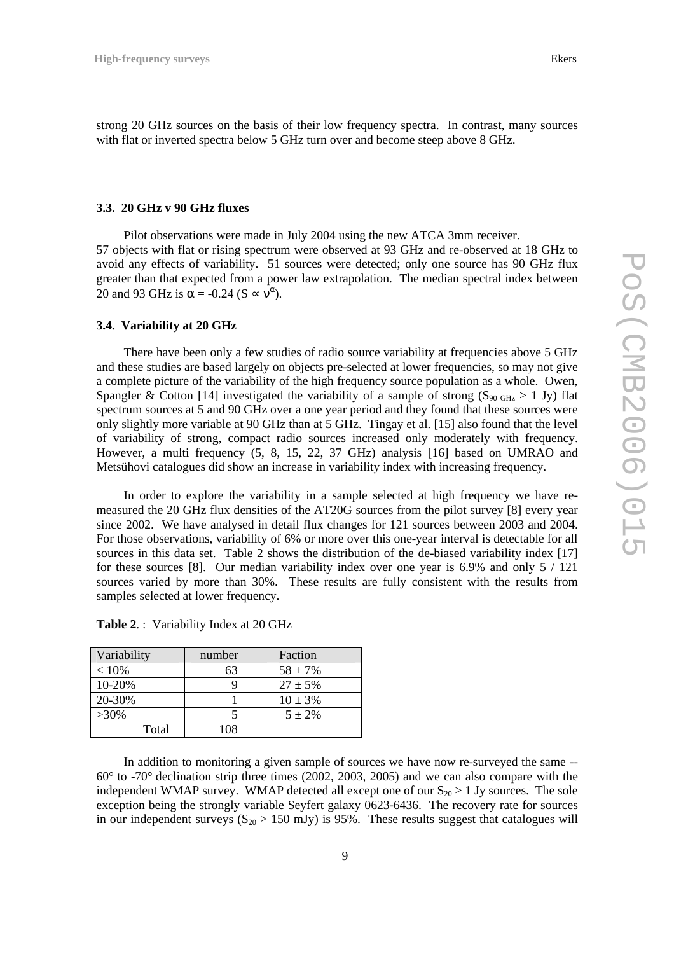strong 20 GHz sources on the basis of their low frequency spectra. In contrast, many sources with flat or inverted spectra below 5 GHz turn over and become steep above 8 GHz.

#### **3.3. 20 GHz v 90 GHz fluxes**

Pilot observations were made in July 2004 using the new ATCA 3mm receiver. 57 objects with flat or rising spectrum were observed at 93 GHz and re-observed at 18 GHz to avoid any effects of variability. 51 sources were detected; only one source has 90 GHz flux greater than that expected from a power law extrapolation. The median spectral index between 20 and 93 GHz is  $\alpha$  = -0.24 (S  $\propto$   $v^{\alpha}$ ).

#### **3.4. Variability at 20 GHz**

There have been only a few studies of radio source variability at frequencies above 5 GHz and these studies are based largely on objects pre-selected at lower frequencies, so may not give a complete picture of the variability of the high frequency source population as a whole. Owen, Spangler & Cotton [14] investigated the variability of a sample of strong  $(S_{90 \text{ GHz}} > 1 \text{ Jy})$  flat spectrum sources at 5 and 90 GHz over a one year period and they found that these sources were only slightly more variable at 90 GHz than at 5 GHz. Tingay et al. [15] also found that the level of variability of strong, compact radio sources increased only moderately with frequency. However, a multi frequency (5, 8, 15, 22, 37 GHz) analysis [16] based on UMRAO and Metsühovi catalogues did show an increase in variability index with increasing frequency.

In order to explore the variability in a sample selected at high frequency we have remeasured the 20 GHz flux densities of the AT20G sources from the pilot survey [8] every year since 2002. We have analysed in detail flux changes for 121 sources between 2003 and 2004. For those observations, variability of 6% or more over this one-year interval is detectable for all sources in this data set. Table 2 shows the distribution of the de-biased variability index [17] for these sources [8]. Our median variability index over one year is 6.9% and only 5 / 121 sources varied by more than 30%. These results are fully consistent with the results from samples selected at lower frequency.

| Variability | number | Faction      |
|-------------|--------|--------------|
| $< 10\%$    | 63     | $58 \pm 7\%$ |
| 10-20%      |        | $27 \pm 5\%$ |
| 20-30%      |        | $10 \pm 3\%$ |
| $>30\%$     |        | $5 + 2\%$    |
| Total       | 108    |              |

**Table 2**. : Variability Index at 20 GHz

In addition to monitoring a given sample of sources we have now re-surveyed the same --  $60^{\circ}$  to -70° declination strip three times (2002, 2003, 2005) and we can also compare with the independent WMAP survey. WMAP detected all except one of our  $S_{20} > 1$  Jy sources. The sole exception being the strongly variable Seyfert galaxy 0623-6436. The recovery rate for sources in our independent surveys ( $S_{20} > 150$  mJy) is 95%. These results suggest that catalogues will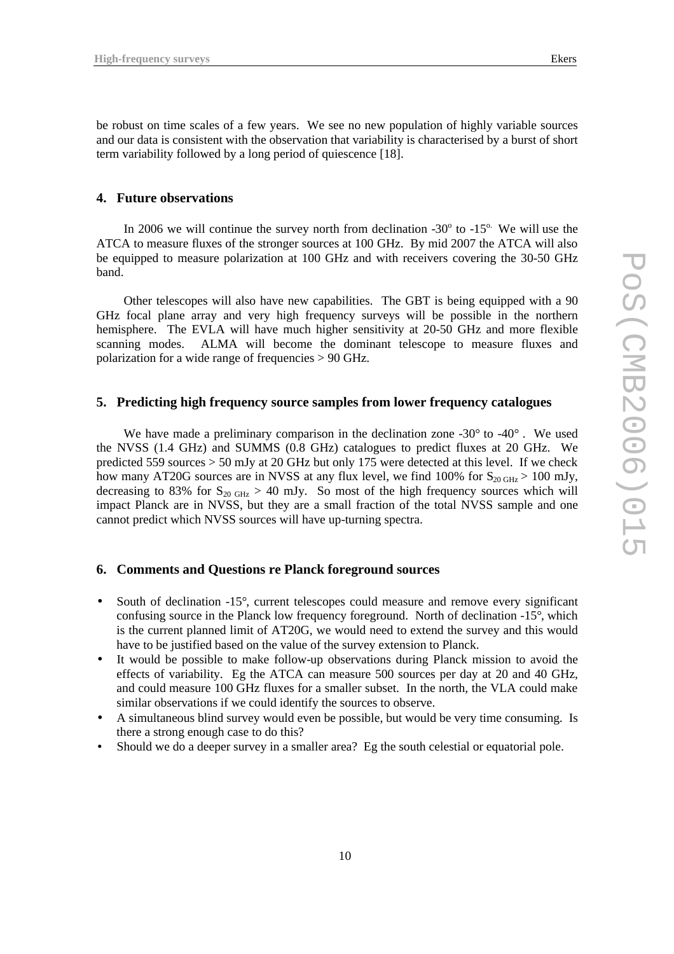be robust on time scales of a few years. We see no new population of highly variable sources and our data is consistent with the observation that variability is characterised by a burst of short term variability followed by a long period of quiescence [18].

## **4. Future observations**

In 2006 we will continue the survey north from declination  $-30^\circ$  to  $-15^\circ$ . We will use the ATCA to measure fluxes of the stronger sources at 100 GHz. By mid 2007 the ATCA will also be equipped to measure polarization at 100 GHz and with receivers covering the 30-50 GHz band.

Other telescopes will also have new capabilities. The GBT is being equipped with a 90 GHz focal plane array and very high frequency surveys will be possible in the northern hemisphere. The EVLA will have much higher sensitivity at 20-50 GHz and more flexible scanning modes. ALMA will become the dominant telescope to measure fluxes and polarization for a wide range of frequencies > 90 GHz.

# **5. Predicting high frequency source samples from lower frequency catalogues**

We have made a preliminary comparison in the declination zone -30 $^{\circ}$  to -40 $^{\circ}$ . We used the NVSS (1.4 GHz) and SUMMS (0.8 GHz) catalogues to predict fluxes at 20 GHz. We predicted 559 sources > 50 mJy at 20 GHz but only 175 were detected at this level. If we check how many AT20G sources are in NVSS at any flux level, we find 100% for  $S_{20 \text{ GHz}} > 100 \text{ mJy}$ , decreasing to 83% for  $S_{20 \text{ GHz}} > 40 \text{ mJy}$ . So most of the high frequency sources which will impact Planck are in NVSS, but they are a small fraction of the total NVSS sample and one cannot predict which NVSS sources will have up-turning spectra.

# **6. Comments and Questions re Planck foreground sources**

- South of declination -15°, current telescopes could measure and remove every significant confusing source in the Planck low frequency foreground. North of declination -15°, which is the current planned limit of AT20G, we would need to extend the survey and this would have to be justified based on the value of the survey extension to Planck.
- It would be possible to make follow-up observations during Planck mission to avoid the effects of variability. Eg the ATCA can measure 500 sources per day at 20 and 40 GHz, and could measure 100 GHz fluxes for a smaller subset. In the north, the VLA could make similar observations if we could identify the sources to observe.
- A simultaneous blind survey would even be possible, but would be very time consuming. Is there a strong enough case to do this?
- Should we do a deeper survey in a smaller area? Eg the south celestial or equatorial pole.